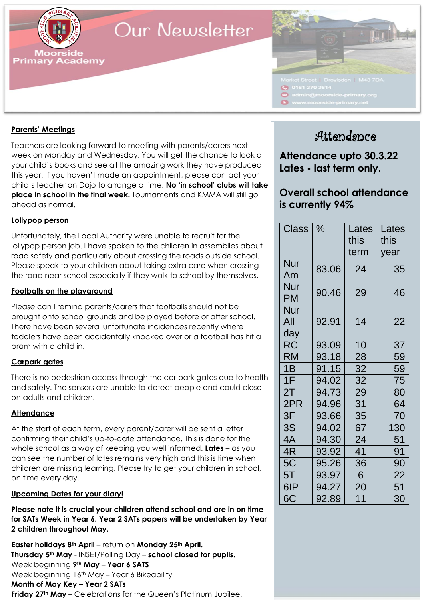

## Our Newsletter



## **Parents' Meetings**

Teachers are looking forward to meeting with parents/carers next week on Monday and Wednesday. You will get the chance to look at your child's books and see all the amazing work they have produced this year! If you haven't made an appointment, please contact your child's teacher on Dojo to arrange a time. **No 'in school' clubs will take place in school in the final week.** Tournaments and KMMA will still go ahead as normal.

## **Lollypop person**

Unfortunately, the Local Authority were unable to recruit for the lollypop person job. I have spoken to the children in assemblies about road safety and particularly about crossing the roads outside school. Please speak to your children about taking extra care when crossing the road near school especially if they walk to school by themselves.

## **Footballs on the playground**

Please can I remind parents/carers that footballs should not be brought onto school grounds and be played before or after school. There have been several unfortunate incidences recently where toddlers have been accidentally knocked over or a football has hit a pram with a child in.

### **Carpark gates**

There is no pedestrian access through the car park gates due to health and safety. The sensors are unable to detect people and could close on adults and children.

## **Attendance**

At the start of each term, every parent/carer will be sent a letter confirming their child's up-to-date attendance. This is done for the whole school as a way of keeping you well informed. **Lates** – as you can see the number of lates remains very high and this is time when children are missing learning. Please try to get your children in school, on time every day.

### **Upcoming Dates for your diary!**

**Please note it is crucial your children attend school and are in on time for SATs Week in Year 6. Year 2 SATs papers will be undertaken by Year 2 children throughout May.**

**Thursday 5<sup>th</sup> May** - INSET/Polling Day – school closed for pupils. [www.moorside-primary.net](http://www.moorside-primary.net/) **Easter holidays 8th April** – return on **Monday 25th April.** Week beginning **9th May** – **Year 6 SATS** Week beginning 16<sup>th</sup> May - Year 6 Bikeability **Month of May Key – Year 2 SATs Friday 27th May** – Celebrations for the Queen's Platinum Jubilee.

## Attendance

**Attendance upto 30.3.22 Lates - last term only.**

## **Overall school attendance is currently 94%**

| <b>Class</b>             | $\%$  | Lates<br>this | Lates<br>this |
|--------------------------|-------|---------------|---------------|
|                          |       | term          | year          |
| <b>Nur</b><br>Am         | 83.06 | 24            | 35            |
| Nur<br>PM                | 90.46 | 29            | 46            |
| <b>Nur</b><br>All<br>day | 92.91 | 14            | 22            |
| RC                       | 93.09 | 10            | 37            |
| RM                       | 93.18 | 28            | 59            |
| 1B                       | 91.15 | 32            | 59            |
| 1F                       | 94.02 | 32            | 75            |
| 2T                       | 94.73 | 29            | 80            |
| 2PR                      | 94.96 | 31            | 64            |
| 3F                       | 93.66 | 35            | 70            |
| 3S                       | 94.02 | 67            | 130           |
| 4A                       | 94.30 | 24            | 51            |
| 4R                       | 93.92 | 41            | 91            |
| 5C                       | 95.26 | 36            | 90            |
| 5T                       | 93.97 | 6             | 22            |
| 6IP                      | 94.27 | 20            | 51            |
| 6C                       | 92.89 | 11            | 30            |